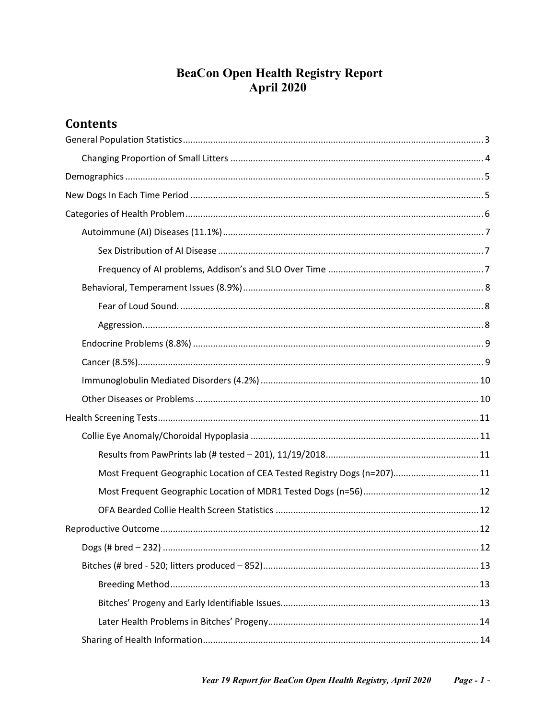# **BeaCon Open Health Registry Report April 2020**

## **Contents**

| Most Frequent Geographic Location of CEA Tested Registry Dogs (n=207) 11 |
|--------------------------------------------------------------------------|
|                                                                          |
|                                                                          |
|                                                                          |
|                                                                          |
|                                                                          |
|                                                                          |
|                                                                          |
|                                                                          |
|                                                                          |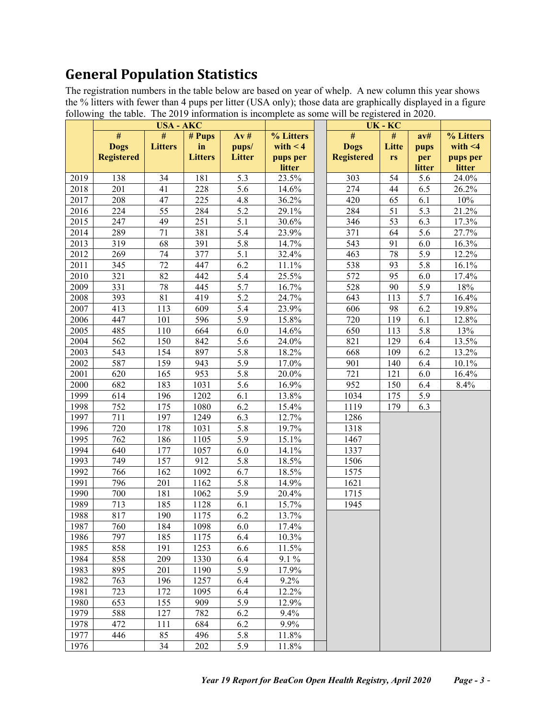# <span id="page-2-0"></span>**General Population Statistics**

The registration numbers in the table below are based on year of whelp. A new column this year shows the % litters with fewer than 4 pups per litter (USA only); those data are graphically displayed in a figure following the table. The 2019 information is incomplete as some will be registered in 2020.

|              |                   | <b>USA - AKC</b> |                |                                      |                | UK-KC |                   |                 |            |                |
|--------------|-------------------|------------------|----------------|--------------------------------------|----------------|-------|-------------------|-----------------|------------|----------------|
|              | #                 | #                | # Pups         | Av#                                  | % Litters      |       | #                 | #               | av#        | % Litters      |
|              | <b>Dogs</b>       | <b>Litters</b>   | in             | pups/                                | with $< 4$     |       | <b>Dogs</b>       | Litte           | pups       | with $<$ 4     |
|              | <b>Registered</b> |                  | <b>Litters</b> | <b>Litter</b>                        | pups per       |       | <b>Registered</b> | rs              | per        | pups per       |
|              |                   |                  |                |                                      | litter         |       |                   |                 | litter     | litter         |
| 2019         | 138               | 34               | 181            | $\overline{5.3}$                     | 23.5%          |       | 303               | 54              | 5.6        | 24.0%          |
| 2018         | 201               | 41               | 228            | $\overline{5.6}$                     | 14.6%          |       | 274               | 44              | 6.5        | 26.2%          |
| 2017         | 208               | 47               | 225            | 4.8                                  | 36.2%          |       | 420               | 65              | 6.1        | 10%            |
| 2016         | 224               | 55               | 284            | $\overline{5.2}$                     | 29.1%          |       | 284               | 51              | 5.3        | 21.2%          |
| 2015         | 247               | 49               | 251            | $\overline{5.1}$                     | 30.6%          |       | 346               | $\overline{53}$ | 6.3        | 17.3%          |
| 2014         | 289               | 71               | 381            | $\overline{5.4}$                     | 23.9%          |       | 371               | 64              | 5.6        | 27.7%          |
| 2013         | 319               | 68               | 391            | $\overline{5.8}$                     | 14.7%          |       | 543               | 91              | 6.0        | 16.3%          |
| 2012         | 269               | 74               | 377            | $\overline{5.1}$                     | 32.4%          |       | 463               | 78              | 5.9        | 12.2%          |
| 2011         | 345               | $\overline{72}$  | 447            | 6.2                                  | 11.1%          |       | 538               | 93              | 5.8        | 16.1%          |
| 2010         | 321               | 82               | 442            | $\overline{5.4}$                     | 25.5%          |       | 572               | 95              | 6.0        | 17.4%          |
| 2009         | 331               | 78               | 445            | $\overline{5.7}$<br>$\overline{5.2}$ | 16.7%          |       | 528               | 90              | 5.9        | 18%            |
| 2008         | 393               | 81               | 419            |                                      | 24.7%          |       | 643               | 113             | 5.7        | 16.4%          |
| 2007         | 413<br>447        | 113              | 609            | $\overline{5.4}$<br>$\overline{5.9}$ | 23.9%          |       | 606               | 98              | 6.2        | 19.8%          |
| 2006         |                   | 101              | 596            |                                      | 15.8%          |       | 720               | 119             | 6.1        | 12.8%          |
| 2005         | 485               | 110              | 664            | 6.0                                  | 14.6%          |       | 650               | 113             | 5.8        | 13%<br>13.5%   |
| 2004         | 562               | 150              | 842            | 5.6                                  | 24.0%          |       | 821               | 129             | 6.4        |                |
| 2003         | 543               | 154              | 897            | $\overline{5.8}$                     | 18.2%          |       | 668               | 109             | 6.2        | 13.2%<br>10.1% |
| 2002         | 587<br>620        | 159<br>165       | 943<br>953     | $\overline{5.9}$<br>$\overline{5.8}$ | 17.0%          |       | 901<br>721        | 140<br>121      | 6.4        |                |
| 2001         | 682               |                  | 1031           | $\overline{5.6}$                     | 20.0%          |       | 952               |                 | 6.0        | 16.4%          |
| 2000<br>1999 | 614               | 183<br>196       | 1202           | 6.1                                  | 16.9%<br>13.8% |       | 1034              | 150<br>175      | 6.4<br>5.9 | 8.4%           |
| 1998         | 752               | 175              | 1080           | 6.2                                  | 15.4%          |       | 1119              | 179             | 6.3        |                |
| 1997         | 711               | 197              | 1249           | 6.3                                  | 12.7%          |       | 1286              |                 |            |                |
| 1996         | 720               | 178              | 1031           | $\overline{5.8}$                     | 19.7%          |       | 1318              |                 |            |                |
| 1995         | 762               | 186              | 1105           | $\overline{5.9}$                     | 15.1%          |       | 1467              |                 |            |                |
| 1994         | 640               | 177              | 1057           | 6.0                                  | 14.1%          |       | 1337              |                 |            |                |
| 1993         | 749               | 157              | 912            | $\overline{5.8}$                     | 18.5%          |       | 1506              |                 |            |                |
| 1992         | 766               | 162              | 1092           | 6.7                                  | 18.5%          |       | 1575              |                 |            |                |
| 1991         | 796               | 201              | 1162           | $\overline{5.8}$                     | 14.9%          |       | 1621              |                 |            |                |
| 1990         | 700               | 181              | 1062           | 5.9                                  | 20.4%          |       | 1715              |                 |            |                |
| 1989         | 713               | 185              | 1128           | 6.1                                  | 15.7%          |       | 1945              |                 |            |                |
| 1988         | 817               | 190              | 1175           | 6.2                                  | 13.7%          |       |                   |                 |            |                |
| 1987         | 760               | 184              | 1098           | $6.0\,$                              | 17.4%          |       |                   |                 |            |                |
| 1986         | 797               | 185              | 1175           | 6.4                                  | 10.3%          |       |                   |                 |            |                |
| 1985         | 858               | 191              | 1253           | 6.6                                  | 11.5%          |       |                   |                 |            |                |
| 1984         | 858               | 209              | 1330           | 6.4                                  | 9.1 %          |       |                   |                 |            |                |
| 1983         | 895               | 201              | 1190           | 5.9                                  | 17.9%          |       |                   |                 |            |                |
| 1982         | 763               | 196              | 1257           | 6.4                                  | 9.2%           |       |                   |                 |            |                |
| 1981         | 723               | 172              | 1095           | 6.4                                  | 12.2%          |       |                   |                 |            |                |
| 1980         | 653               | 155              | 909            | 5.9                                  | 12.9%          |       |                   |                 |            |                |
| 1979         | 588               | 127              | 782            | 6.2                                  | 9.4%           |       |                   |                 |            |                |
| 1978         | 472               | 111              | 684            | 6.2                                  | 9.9%           |       |                   |                 |            |                |
| 1977         | 446               | 85               | 496            | 5.8                                  | 11.8%          |       |                   |                 |            |                |
| 1976         |                   | 34               | 202            | 5.9                                  | 11.8%          |       |                   |                 |            |                |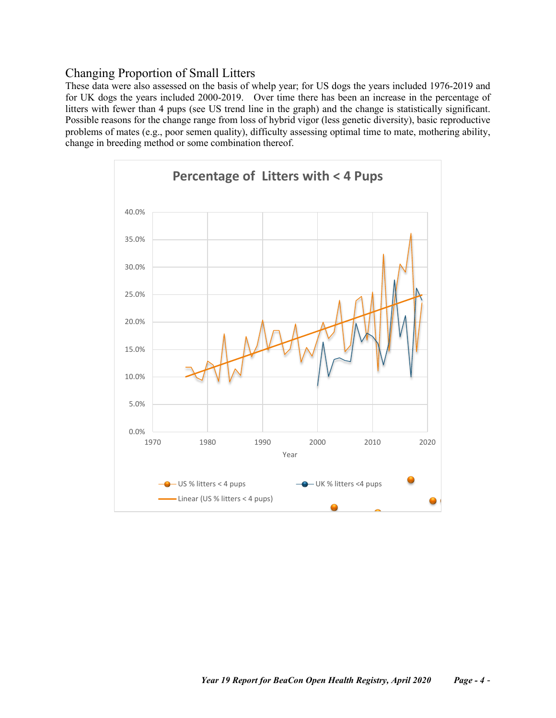### <span id="page-3-0"></span>Changing Proportion of Small Litters

These data were also assessed on the basis of whelp year; for US dogs the years included 1976-2019 and for UK dogs the years included 2000-2019. Over time there has been an increase in the percentage of litters with fewer than 4 pups (see US trend line in the graph) and the change is statistically significant. Possible reasons for the change range from loss of hybrid vigor (less genetic diversity), basic reproductive problems of mates (e.g., poor semen quality), difficulty assessing optimal time to mate, mothering ability, change in breeding method or some combination thereof.

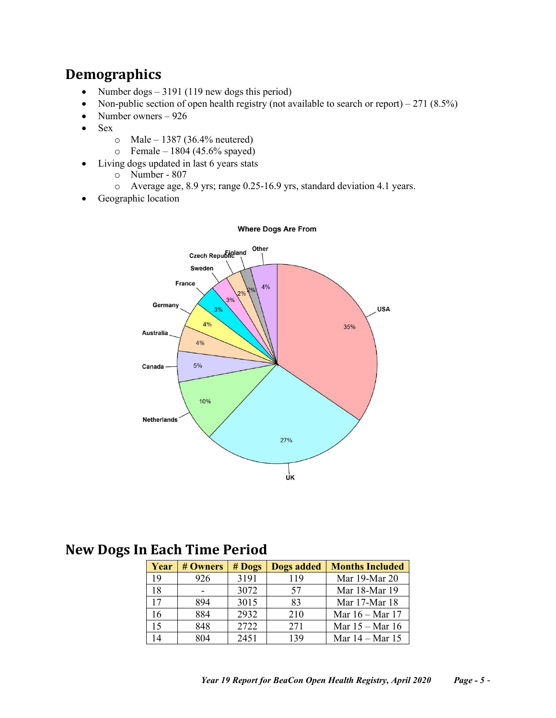# <span id="page-4-0"></span>**Demographics**

- Number dogs 3191 (119 new dogs this period)
- Non-public section of open health registry (not available to search or report) 271 (8.5%)
- Number owners 926
- Sex
	- $\circ$  Male 1387 (36.4% neutered)
	- $\circ$  Female 1804 (45.6% spayed)
- Living dogs updated in last 6 years stats
	- o Number 807
	- o Average age, 8.9 yrs; range 0.25-16.9 yrs, standard deviation 4.1 years.
- Geographic location



#### **Where Dogs Are From**

# <span id="page-4-1"></span>**New Dogs In Each Time Period**

| Year | # Owners | $#$ Dogs | <b>Dogs added</b> | <b>Months Included</b>    |
|------|----------|----------|-------------------|---------------------------|
| 19   | 926      | 3191     | 119               | Mar 19-Mar 20             |
| 18   |          | 3072     | 57                | Mar 18-Mar 19             |
| 17   | 894      | 3015     | 83                | Mar 17-Mar 18             |
| 16   | 884      | 2932     | 210               | Mar $16 - \text{Mar } 17$ |
| 15   | 848      | 2722     | 271               | Mar $15 -$ Mar 16         |
| 14   | 804      | 2451     | 139               | Mar $14 -$ Mar $15$       |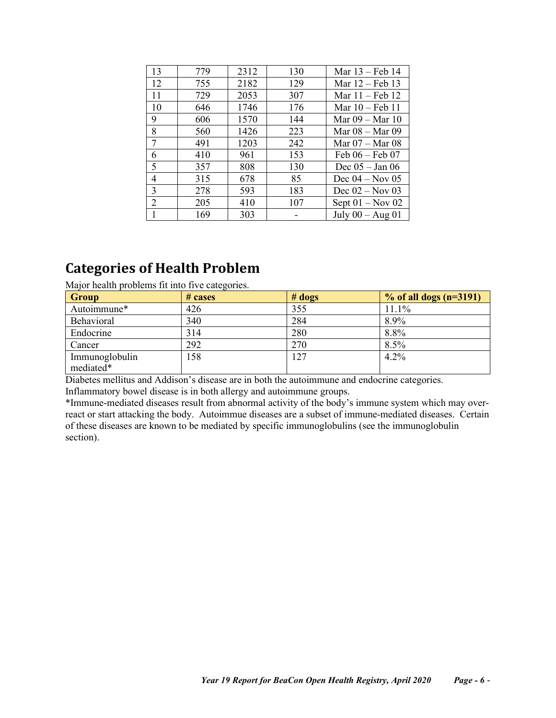| 13             | 779 | 2312 | 130 | Mar $13$ – Feb 14         |
|----------------|-----|------|-----|---------------------------|
| 12             | 755 | 2182 | 129 | Mar $12$ – Feb 13         |
| 11             | 729 | 2053 | 307 | Mar $11$ – Feb 12         |
| 10             | 646 | 1746 | 176 | Mar $10 - \text{Feb } 11$ |
| 9              | 606 | 1570 | 144 | Mar $09 -$ Mar $10$       |
| 8              | 560 | 1426 | 223 | Mar $08 -$ Mar $09$       |
| $\tau$         | 491 | 1203 | 242 | Mar $07 -$ Mar $08$       |
| 6              | 410 | 961  | 153 | Feb $06 -$ Feb 07         |
| 5              | 357 | 808  | 130 | Dec $05 - Jan 06$         |
| 4              | 315 | 678  | 85  | Dec $04 - Nov 05$         |
| 3              | 278 | 593  | 183 | Dec $02 - Nov 03$         |
| $\overline{2}$ | 205 | 410  | 107 | Sept $01 - Nov 02$        |
|                | 169 | 303  |     | July $00 - Aug\ 01$       |

# <span id="page-5-0"></span>**Categories of Health Problem**

Major health problems fit into five categories.

| <b>Group</b>                | # cases | # <b>dog</b> | $\%$ of all dogs (n=3191) |
|-----------------------------|---------|--------------|---------------------------|
| Autoimmune*                 | 426     | 355          | $11.1\%$                  |
| Behavioral                  | 340     | 284          | 8.9%                      |
| Endocrine                   | 314     | 280          | 8.8%                      |
| Cancer                      | 292     | 270          | $8.5\%$                   |
| Immunoglobulin<br>mediated* | 158     | 127          | 4.2%                      |

Diabetes mellitus and Addison's disease are in both the autoimmune and endocrine categories. Inflammatory bowel disease is in both allergy and autoimmune groups.

\*Immune-mediated diseases result from abnormal activity of the body's immune system which may overreact or start attacking the body. Autoimmue diseases are a subset of immune-mediated diseases. Certain of these diseases are known to be mediated by specific immunoglobulins (see the immunoglobulin section).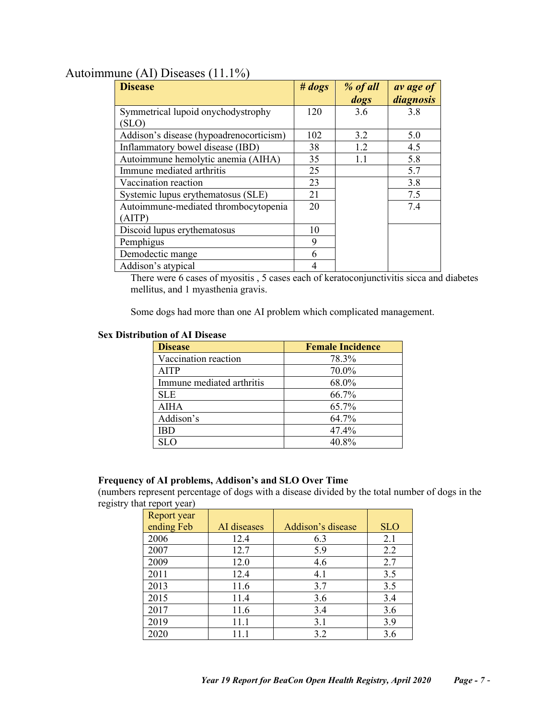## <span id="page-6-0"></span>Autoimmune (AI) Diseases (11.1%)

| <b>Disease</b>                          | # <i>dogs</i> | % of all | av age of |
|-----------------------------------------|---------------|----------|-----------|
|                                         |               | dogs     | diagnosis |
| Symmetrical lupoid onychodystrophy      | 120           | 3.6      | 3.8       |
| (SLO)                                   |               |          |           |
| Addison's disease (hypoadrenocorticism) | 102           | 3.2      | 5.0       |
| Inflammatory bowel disease (IBD)        | 38            | 1.2      | 4.5       |
| Autoimmune hemolytic anemia (AIHA)      | 35            | 1.1      | 5.8       |
| Immune mediated arthritis               | 25            |          | 5.7       |
| Vaccination reaction                    | 23            |          | 3.8       |
| Systemic lupus erythematosus (SLE)      | 21            |          | 7.5       |
| Autoimmune-mediated thrombocytopenia    | 20            |          | 7.4       |
| (AITP)                                  |               |          |           |
| Discoid lupus erythematosus             | 10            |          |           |
| Pemphigus                               | 9             |          |           |
| Demodectic mange                        | 6             |          |           |
| Addison's atypical                      |               |          |           |

There were 6 cases of myositis , 5 cases each of keratoconjunctivitis sicca and diabetes mellitus, and 1 myasthenia gravis.

Some dogs had more than one AI problem which complicated management.

### <span id="page-6-1"></span>**Sex Distribution of AI Disease**

| <b>Disease</b>            | <b>Female Incidence</b> |
|---------------------------|-------------------------|
| Vaccination reaction      | 78.3%                   |
| AITP                      | 70.0%                   |
| Immune mediated arthritis | 68.0%                   |
| <b>SLE</b>                | 66.7%                   |
| AIHA                      | 65.7%                   |
| Addison's                 | 64.7%                   |
| <b>IBD</b>                | 47.4%                   |
| SL O                      | 40.8%                   |

#### <span id="page-6-2"></span>**Frequency of AI problems, Addison's and SLO Over Time**

(numbers represent percentage of dogs with a disease divided by the total number of dogs in the registry that report year)

| Report year |             |                   |            |
|-------------|-------------|-------------------|------------|
| ending Feb  | AI diseases | Addison's disease | <b>SLO</b> |
| 2006        | 12.4        | 6.3               | 2.1        |
| 2007        | 12.7        | 5.9               | 2.2        |
| 2009        | 12.0        | 4.6               | 2.7        |
| 2011        | 12.4        | 4.1               | 3.5        |
| 2013        | 11.6        | 3.7               | 3.5        |
| 2015        | 11.4        | 3.6               | 3.4        |
| 2017        | 11.6        | 3.4               | 3.6        |
| 2019        | 11.1        | 3.1               | 3.9        |
| 2020        | 11.1        | 3.2               | 3.6        |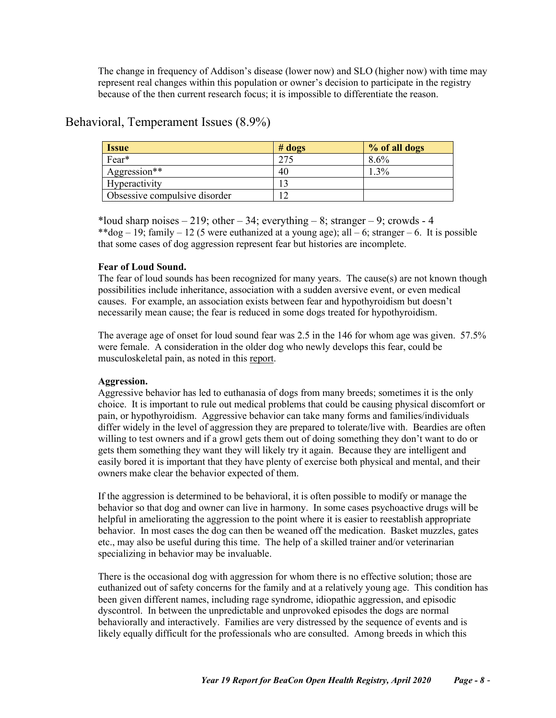The change in frequency of Addison's disease (lower now) and SLO (higher now) with time may represent real changes within this population or owner's decision to participate in the registry because of the then current research focus; it is impossible to differentiate the reason.

### <span id="page-7-0"></span>Behavioral, Temperament Issues (8.9%)

| <b>Issue</b>                  | $#$ dogs | % of all dogs |
|-------------------------------|----------|---------------|
| Fear*                         | 275      | 8.6%          |
| Aggression**                  | 40       | . .3%         |
| Hyperactivity                 |          |               |
| Obsessive compulsive disorder |          |               |

\*loud sharp noises  $-219$ ; other  $-34$ ; everything  $-8$ ; stranger  $-9$ ; crowds  $-4$ \*\*dog – 19; family – 12 (5 were euthanized at a young age); all – 6; stranger – 6. It is possible that some cases of dog aggression represent fear but histories are incomplete.

#### <span id="page-7-1"></span>**Fear of Loud Sound.**

The fear of loud sounds has been recognized for many years. The cause(s) are not known though possibilities include inheritance, association with a sudden aversive event, or even medical causes. For example, an association exists between fear and hypothyroidism but doesn't necessarily mean cause; the fear is reduced in some dogs treated for hypothyroidism.

The average age of onset for loud sound fear was 2.5 in the 146 for whom age was given. 57.5% were female. A consideration in the older dog who newly develops this fear, could be musculoskeletal pain, as noted in this [report.](https://www.frontiersin.org/articles/10.3389/fvets.2018.00017/full)

#### <span id="page-7-2"></span>**Aggression.**

Aggressive behavior has led to euthanasia of dogs from many breeds; sometimes it is the only choice. It is important to rule out medical problems that could be causing physical discomfort or pain, or hypothyroidism. Aggressive behavior can take many forms and families/individuals differ widely in the level of aggression they are prepared to tolerate/live with. Beardies are often willing to test owners and if a growl gets them out of doing something they don't want to do or gets them something they want they will likely try it again. Because they are intelligent and easily bored it is important that they have plenty of exercise both physical and mental, and their owners make clear the behavior expected of them.

If the aggression is determined to be behavioral, it is often possible to modify or manage the behavior so that dog and owner can live in harmony. In some cases psychoactive drugs will be helpful in ameliorating the aggression to the point where it is easier to reestablish appropriate behavior. In most cases the dog can then be weaned off the medication. Basket muzzles, gates etc., may also be useful during this time. The help of a skilled trainer and/or veterinarian specializing in behavior may be invaluable.

There is the occasional dog with aggression for whom there is no effective solution; those are euthanized out of safety concerns for the family and at a relatively young age. This condition has been given different names, including rage syndrome, idiopathic aggression, and episodic dyscontrol. In between the unpredictable and unprovoked episodes the dogs are normal behaviorally and interactively. Families are very distressed by the sequence of events and is likely equally difficult for the professionals who are consulted. Among breeds in which this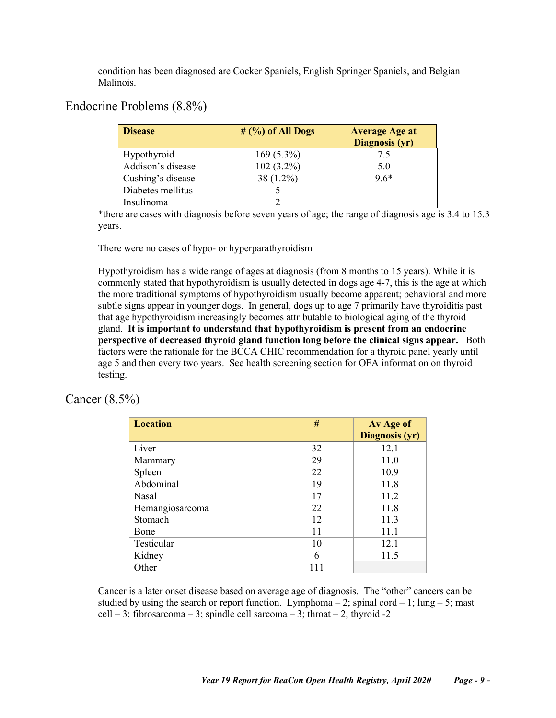condition has been diagnosed are Cocker Spaniels, English Springer Spaniels, and Belgian Malinois.

## <span id="page-8-0"></span>Endocrine Problems (8.8%)

| <b>Disease</b>    | $#$ (%) of All Dogs | <b>Average Age at</b><br>Diagnosis (yr) |
|-------------------|---------------------|-----------------------------------------|
| Hypothyroid       | $169(5.3\%)$        | 7.5                                     |
| Addison's disease | $102(3.2\%)$        | 5.0                                     |
| Cushing's disease | 38 (1.2%)           | $9.6*$                                  |
| Diabetes mellitus |                     |                                         |
| Insulinoma        |                     |                                         |

\*there are cases with diagnosis before seven years of age; the range of diagnosis age is 3.4 to 15.3 years.

There were no cases of hypo- or hyperparathyroidism

Hypothyroidism has a wide range of ages at diagnosis (from 8 months to 15 years). While it is commonly stated that hypothyroidism is usually detected in dogs age 4-7, this is the age at which the more traditional symptoms of hypothyroidism usually become apparent; behavioral and more subtle signs appear in younger dogs. In general, dogs up to age 7 primarily have thyroiditis past that age hypothyroidism increasingly becomes attributable to biological aging of the thyroid gland. **It is important to understand that hypothyroidism is present from an endocrine perspective of decreased thyroid gland function long before the clinical signs appear.** Both factors were the rationale for the BCCA CHIC recommendation for a thyroid panel yearly until age 5 and then every two years. See health screening section for OFA information on thyroid testing.

### <span id="page-8-1"></span>Cancer (8.5%)

| <b>Location</b> | #  | Av Age of<br><b>Diagnosis (yr)</b> |
|-----------------|----|------------------------------------|
| Liver           | 32 | 12.1                               |
| Mammary         | 29 | 11.0                               |
| Spleen          | 22 | 10.9                               |
| Abdominal       | 19 | 11.8                               |
| <b>Nasal</b>    | 17 | 11.2                               |
| Hemangiosarcoma | 22 | 11.8                               |
| Stomach         | 12 | 11.3                               |
| Bone            | 11 | 11.1                               |
| Testicular      | 10 | 12.1                               |
| Kidney          | 6  | 11.5                               |
| Other           |    |                                    |

Cancer is a later onset disease based on average age of diagnosis. The "other" cancers can be studied by using the search or report function. Lymphoma – 2; spinal cord – 1; lung – 5; mast cell – 3; fibrosarcoma – 3; spindle cell sarcoma – 3; throat – 2; thyroid -2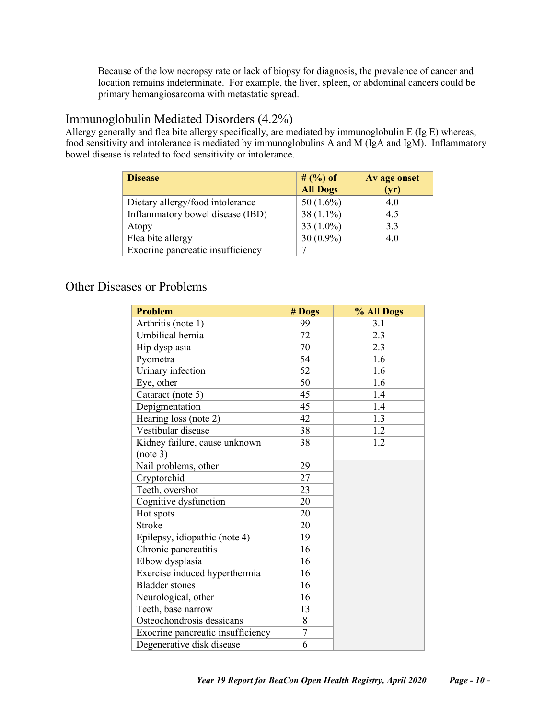Because of the low necropsy rate or lack of biopsy for diagnosis, the prevalence of cancer and location remains indeterminate. For example, the liver, spleen, or abdominal cancers could be primary hemangiosarcoma with metastatic spread.

### <span id="page-9-0"></span>Immunoglobulin Mediated Disorders (4.2%)

Allergy generally and flea bite allergy specifically, are mediated by immunoglobulin E (Ig E) whereas, food sensitivity and intolerance is mediated by immunoglobulins A and M (IgA and IgM). Inflammatory bowel disease is related to food sensitivity or intolerance.

| <b>Disease</b>                    | # $(%) of$<br><b>All Dogs</b> | Av age onset<br>(yr) |
|-----------------------------------|-------------------------------|----------------------|
| Dietary allergy/food intolerance  | 50 $(1.6\%)$                  | 4.0                  |
| Inflammatory bowel disease (IBD)  | 38 $(1.1\%)$                  | 4.5                  |
| Atopy                             | 33 $(1.0\%)$                  | 3.3                  |
| Flea bite allergy                 | 30 $(0.9\%)$                  | 4.0                  |
| Exocrine pancreatic insufficiency |                               |                      |

## <span id="page-9-1"></span>Other Diseases or Problems

| <b>Problem</b>                    | # Dogs | % All Dogs |
|-----------------------------------|--------|------------|
| Arthritis (note 1)                | 99     | 3.1        |
| Umbilical hernia                  | 72     | 2.3        |
| Hip dysplasia                     | 70     | 2.3        |
| Pyometra                          | 54     | 1.6        |
| Urinary infection                 | 52     | 1.6        |
| Eye, other                        | 50     | 1.6        |
| Cataract (note 5)                 | 45     | 1.4        |
| Depigmentation                    | 45     | 1.4        |
| Hearing loss (note 2)             | 42     | 1.3        |
| Vestibular disease                | 38     | 1.2        |
| Kidney failure, cause unknown     | 38     | 1.2        |
| (note 3)                          |        |            |
| Nail problems, other              | 29     |            |
| Cryptorchid                       | 27     |            |
| Teeth, overshot                   | 23     |            |
| Cognitive dysfunction             | 20     |            |
| Hot spots                         | 20     |            |
| <b>Stroke</b>                     | 20     |            |
| Epilepsy, idiopathic (note 4)     | 19     |            |
| Chronic pancreatitis              | 16     |            |
| Elbow dysplasia                   | 16     |            |
| Exercise induced hyperthermia     | 16     |            |
| <b>Bladder</b> stones             | 16     |            |
| Neurological, other               | 16     |            |
| Teeth, base narrow                | 13     |            |
| Osteochondrosis dessicans         | 8      |            |
| Exocrine pancreatic insufficiency | 7      |            |
| Degenerative disk disease         | 6      |            |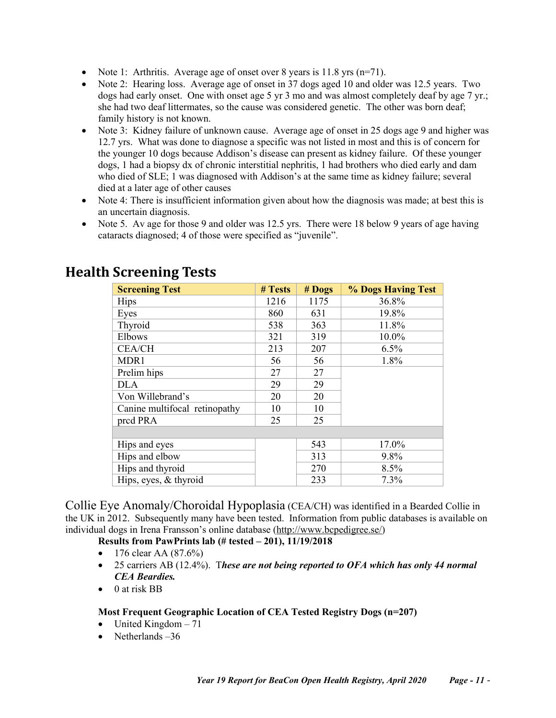- Note 1: Arthritis. Average age of onset over 8 years is 11.8 yrs  $(n=71)$ .
- Note 2: Hearing loss. Average age of onset in 37 dogs aged 10 and older was 12.5 years. Two dogs had early onset. One with onset age 5 yr 3 mo and was almost completely deaf by age 7 yr.; she had two deaf littermates, so the cause was considered genetic. The other was born deaf; family history is not known.
- Note 3: Kidney failure of unknown cause. Average age of onset in 25 dogs age 9 and higher was 12.7 yrs. What was done to diagnose a specific was not listed in most and this is of concern for the younger 10 dogs because Addison's disease can present as kidney failure. Of these younger dogs, 1 had a biopsy dx of chronic interstitial nephritis, 1 had brothers who died early and dam who died of SLE; 1 was diagnosed with Addison's at the same time as kidney failure; several died at a later age of other causes
- Note 4: There is insufficient information given about how the diagnosis was made; at best this is an uncertain diagnosis.
- Note 5. Av age for those 9 and older was 12.5 yrs. There were 18 below 9 years of age having cataracts diagnosed; 4 of those were specified as "juvenile".

| <b>Screening Test</b>         | # Tests | $#$ Dogs | <b>% Dogs Having Test</b> |
|-------------------------------|---------|----------|---------------------------|
| <b>Hips</b>                   | 1216    | 1175     | 36.8%                     |
| Eyes                          | 860     | 631      | 19.8%                     |
| Thyroid                       | 538     | 363      | 11.8%                     |
| Elbows                        | 321     | 319      | 10.0%                     |
| <b>CEA/CH</b>                 | 213     | 207      | 6.5%                      |
| MDR1                          | 56      | 56       | 1.8%                      |
| Prelim hips                   | 27      | 27       |                           |
| <b>DLA</b>                    | 29      | 29       |                           |
| Von Willebrand's              | 20      | 20       |                           |
| Canine multifocal retinopathy | 10      | 10       |                           |
| prcd PRA                      | 25      | 25       |                           |
|                               |         |          |                           |
| Hips and eyes                 |         | 543      | 17.0%                     |
| Hips and elbow                |         | 313      | 9.8%                      |
| Hips and thyroid              |         | 270      | 8.5%                      |
| Hips, eyes, & thyroid         |         | 233      | 7.3%                      |

# <span id="page-10-0"></span>**Health Screening Tests**

<span id="page-10-1"></span>Collie Eye Anomaly/Choroidal Hypoplasia (CEA/CH) was identified in a Bearded Collie in the UK in 2012. Subsequently many have been tested. Information from public databases is available on individual dogs in Irena Fransson's online database [\(http://www.bcpedigree.se/\)](http://www.bcpedigree.se/)

<span id="page-10-2"></span>**Results from PawPrints lab (# tested – 201), 11/19/2018**

- 176 clear AA  $(87.6%)$
- 25 carriers AB (12.4%). T*hese are not being reported to OFA which has only 44 normal CEA Beardies.*
- 0 at risk BB

#### <span id="page-10-3"></span>**Most Frequent Geographic Location of CEA Tested Registry Dogs (n=207)**

- $\bullet$  United Kingdom  $-71$
- Netherlands –36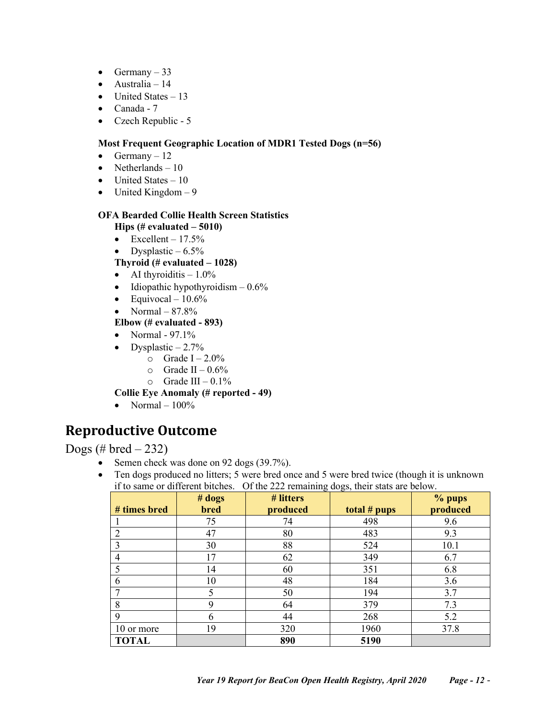- Germany  $-33$
- Australia 14
- United States  $-13$
- Canada 7
- Czech Republic 5

#### <span id="page-11-0"></span>**Most Frequent Geographic Location of MDR1 Tested Dogs (n=56)**

- Germany  $-12$
- Netherlands  $-10$
- United States  $-10$
- United Kingdom  $-9$

### <span id="page-11-1"></span>**OFA Bearded Collie Health Screen Statistics**

**Hips (# evaluated – 5010)**

- Excellent  $-17.5%$
- Dysplastic  $-6.5\%$

#### **Thyroid (# evaluated – 1028)**

- AI thyroiditis  $-1.0\%$
- Idiopathic hypothyroidism  $-0.6\%$
- Equivocal  $10.6\%$
- Normal  $-87.8\%$

### **Elbow (# evaluated - 893)**

- Normal 97.1%
- Dysplastic  $-2.7\%$ 
	- $\circ$  Grade I 2.0%
	- $\circ$  Grade II 0.6%
	- $\circ$  Grade III 0.1%

#### **Collie Eye Anomaly (# reported - 49)**

• Normal  $-100\%$ 

# <span id="page-11-2"></span>**Reproductive Outcome**

<span id="page-11-3"></span>Dogs (# bred  $-232$ )

- Semen check was done on 92 dogs (39.7%).
- Ten dogs produced no litters; 5 were bred once and 5 were bred twice (though it is unknown if to same or different bitches. Of the 222 remaining dogs, their stats are below.

|              | # dogs      | # litters |              | % pups   |
|--------------|-------------|-----------|--------------|----------|
| # times bred | <b>bred</b> | produced  | total # pups | produced |
|              | 75          | 74        | 498          | 9.6      |
| 2            | 47          | 80        | 483          | 9.3      |
| 3            | 30          | 88        | 524          | 10.1     |
| 4            | 17          | 62        | 349          | 6.7      |
| 5            | 14          | 60        | 351          | 6.8      |
| 6            | 10          | 48        | 184          | 3.6      |
|              | 5           | 50        | 194          | 3.7      |
| 8            | 9           | 64        | 379          | 7.3      |
| 9            | 6           | 44        | 268          | 5.2      |
| 10 or more   | 19          | 320       | 1960         | 37.8     |
| <b>TOTAL</b> |             | 890       | 5190         |          |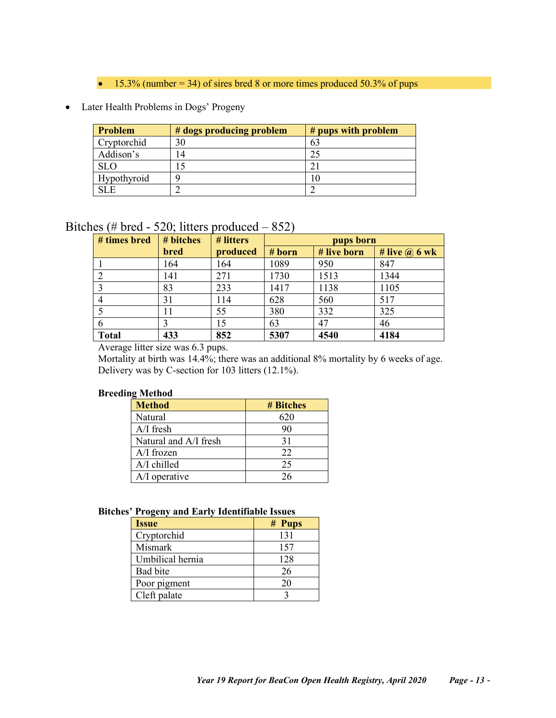$\bullet$  15.3% (number = 34) of sires bred 8 or more times produced 50.3% of pups

### • Later Health Problems in Dogs' Progeny

| Problem     | # dogs producing problem | # pups with problem |
|-------------|--------------------------|---------------------|
| Cryptorchid | 30                       | 63                  |
| Addison's   |                          |                     |
| <b>SLO</b>  |                          |                     |
| Hypothyroid |                          | l O                 |
| SLE.        |                          |                     |

## <span id="page-12-0"></span>Bitches (# bred - 520; litters produced – 852)

| # times bred | # bitches | # litters | pups born |             |                      |
|--------------|-----------|-----------|-----------|-------------|----------------------|
|              | bred      | produced  | # born    | # live born | # live $\omega$ 6 wk |
|              | 164       | 164       | 1089      | 950         | 847                  |
|              | 141       | 271       | 1730      | 1513        | 1344                 |
|              | 83        | 233       | 1417      | 1138        | 1105                 |
|              | 31        | 114       | 628       | 560         | 517                  |
|              | 11        | 55        | 380       | 332         | 325                  |
| 6            |           | 15        | 63        | 47          | 46                   |
| <b>Total</b> | 433       | 852       | 5307      | 4540        | 4184                 |

Average litter size was 6.3 pups.

Mortality at birth was 14.4%; there was an additional 8% mortality by 6 weeks of age. Delivery was by C-section for 103 litters (12.1%).

#### <span id="page-12-1"></span>**Breeding Method**

| <b>Method</b>         | # Bitches |
|-----------------------|-----------|
| Natural               | 620       |
| $A/I$ fresh           | 90        |
| Natural and A/I fresh | 31        |
| $A/I$ frozen          | 22        |
| $A/I$ chilled         | 25        |
| A/I operative         | 26        |

#### <span id="page-12-2"></span>**Bitches' Progeny and Early Identifiable Issues**

| <b>Issue</b>     | # Pups |
|------------------|--------|
| Cryptorchid      | 131    |
| Mismark          | 157    |
| Umbilical hernia | 128    |
| Bad bite         | 26     |
| Poor pigment     | 20     |
| Cleft palate     |        |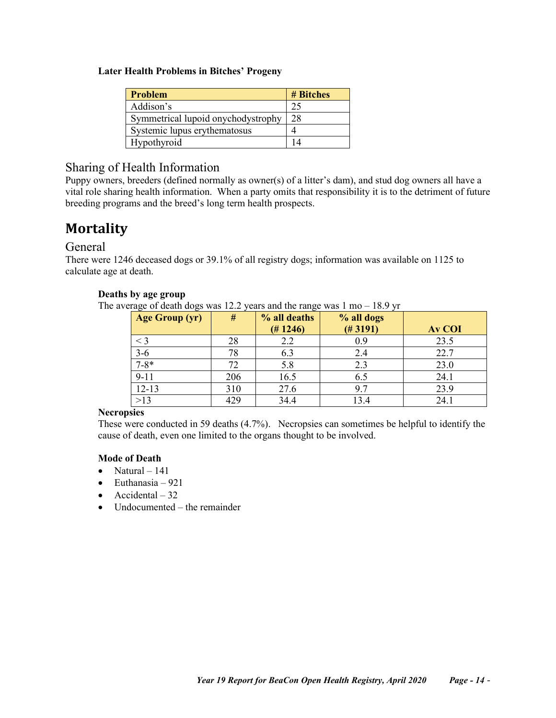#### <span id="page-13-0"></span>**Later Health Problems in Bitches' Progeny**

| Problem                            | # Bitches |
|------------------------------------|-----------|
| Addison's                          | 25        |
| Symmetrical lupoid onychodystrophy | 28        |
| Systemic lupus erythematosus       |           |
| Hypothyroid                        | 14        |

## <span id="page-13-1"></span>Sharing of Health Information

Puppy owners, breeders (defined normally as owner(s) of a litter's dam), and stud dog owners all have a vital role sharing health information. When a party omits that responsibility it is to the detriment of future breeding programs and the breed's long term health prospects.

# <span id="page-13-2"></span>**Mortality**

### <span id="page-13-3"></span>General

<span id="page-13-4"></span>There were 1246 deceased dogs or 39.1% of all registry dogs; information was available on 1125 to calculate age at death.

#### **Deaths by age group**

The average of death dogs was 12.2 years and the range was  $1 \text{ mo} - 18.9 \text{ yr}$ 

| <b>Age Group (yr)</b> | #   | % all deaths<br>(# 1246) | % all dogs<br>(# 3191) | <b>Av COI</b> |
|-----------------------|-----|--------------------------|------------------------|---------------|
| $<$ 3                 | 28  | 2.2                      | 0.9                    | 23.5          |
| $3-6$                 | 78  | 6.3                      | 2.4                    | 22.7          |
| $7 - 8*$              | 72  | 5.8                      | 2.3                    | 23.0          |
| $9 - 11$              | 206 | 16.5                     | 6.5                    | 24.1          |
| $12 - 13$             | 310 | 27.6                     | 9.7                    | 23.9          |
| $>13$                 | 429 | 34.4                     | 13.4                   | 24.1          |

#### <span id="page-13-5"></span>**Necropsies**

These were conducted in 59 deaths (4.7%). Necropsies can sometimes be helpful to identify the cause of death, even one limited to the organs thought to be involved.

#### <span id="page-13-6"></span>**Mode of Death**

- Natural  $-141$
- $\bullet$  Euthanasia 921
- Accidental  $-32$
- Undocumented the remainder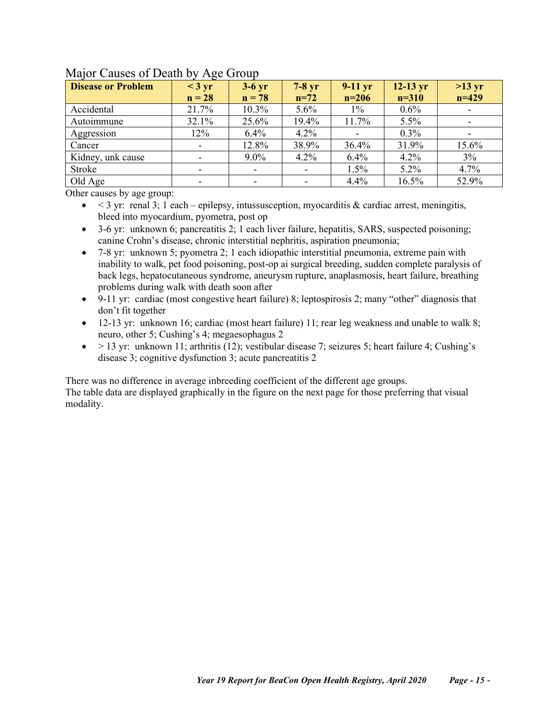| <b>Disease or Problem</b> | O<br>$<$ 3 yr<br>$n = 28$ | $3-6$ yr<br>$n = 78$     | $7-8$ yr<br>$n=72$ | $9-11$ yr<br>$n=206$ | $12-13$ yr<br>$n = 310$ | $>13 \text{ yr}$<br>$n=429$ |
|---------------------------|---------------------------|--------------------------|--------------------|----------------------|-------------------------|-----------------------------|
| Accidental                | 21.7%                     | 10.3%                    | $5.6\%$            | $1\%$                | $0.6\%$                 |                             |
| Autoimmune                | 32.1%                     | 25.6%                    | 19.4%              | 11.7%                | $5.5\%$                 |                             |
| Aggression                | 12%                       | 6.4%                     | 4.2%               |                      | $0.3\%$                 |                             |
| Cancer                    |                           | 12.8%                    | 38.9%              | 36.4%                | 31.9%                   | 15.6%                       |
| Kidney, unk cause         |                           | $9.0\%$                  | 4.2%               | 6.4%                 | 4.2%                    | $3\%$                       |
| Stroke                    |                           | $\overline{\phantom{a}}$ |                    | 1.5%                 | $5.2\%$                 | 4.7%                        |
| Old Age                   |                           | $\overline{\phantom{a}}$ |                    | 4.4%                 | 16.5%                   | 52.9%                       |

### <span id="page-14-0"></span>Major Causes of Death by Age Group

Other causes by age group:

 $\bullet$  < 3 yr: renal 3; 1 each – epilepsy, intussusception, myocarditis & cardiac arrest, meningitis, bleed into myocardium, pyometra, post op

• 3-6 yr: unknown 6; pancreatitis 2; 1 each liver failure, hepatitis, SARS, suspected poisoning; canine Crohn's disease, chronic interstitial nephritis, aspiration pneumonia;

- 7-8 yr: unknown 5; pyometra 2; 1 each idiopathic interstitial pneumonia, extreme pain with inability to walk, pet food poisoning, post-op ai surgical breeding, sudden complete paralysis of back legs, hepatocutaneous syndrome, aneurysm rupture, anaplasmosis, heart failure, breathing problems during walk with death soon after
- 9-11 yr: cardiac (most congestive heart failure) 8; leptospirosis 2; many "other" diagnosis that don't fit together
- 12-13 yr: unknown 16; cardiac (most heart failure) 11; rear leg weakness and unable to walk 8; neuro, other 5; Cushing's 4; megaesophagus 2
- $\bullet$  > 13 yr: unknown 11; arthritis (12); vestibular disease 7; seizures 5; heart failure 4; Cushing's disease 3; cognitive dysfunction 3; acute pancreatitis 2

There was no difference in average inbreeding coefficient of the different age groups.

The table data are displayed graphically in the figure on the next page for those preferring that visual modality.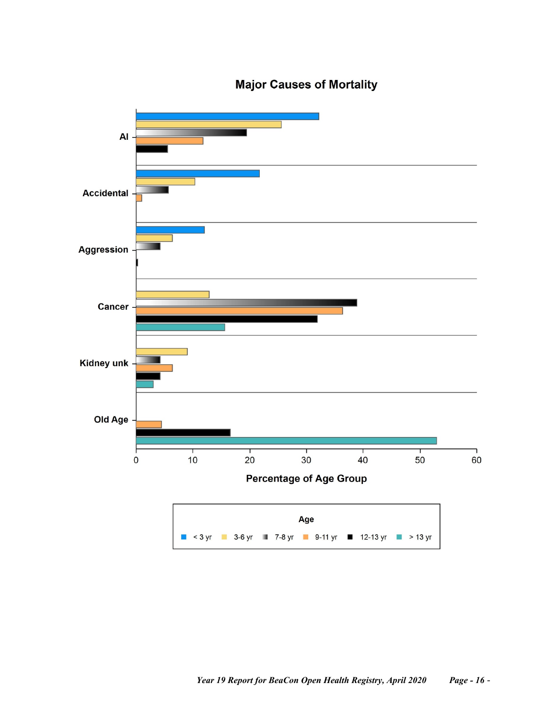

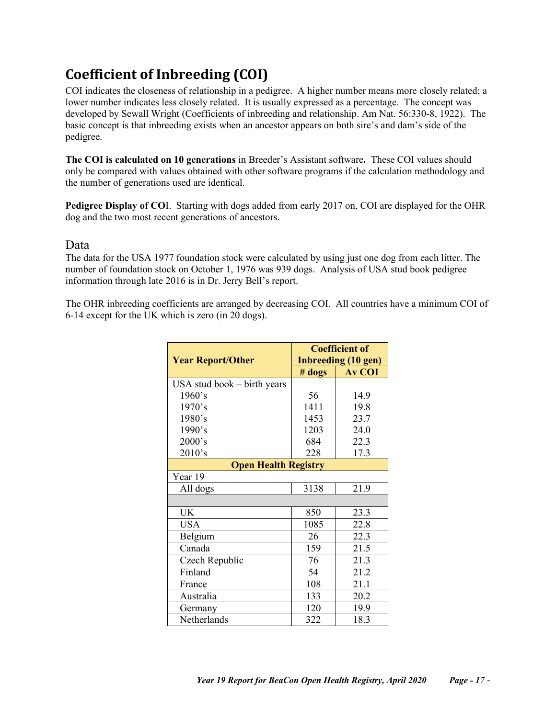# <span id="page-16-0"></span>**Coefficient of Inbreeding (COI)**

COI indicates the closeness of relationship in a pedigree. A higher number means more closely related; a lower number indicates less closely related. It is usually expressed as a percentage. The concept was developed by Sewall Wright (Coefficients of inbreeding and relationship. Am Nat. 56:330-8, 1922). The basic concept is that inbreeding exists when an ancestor appears on both sire's and dam's side of the pedigree.

**The COI is calculated on 10 generations** in Breeder's Assistant software**.** These COI values should only be compared with values obtained with other software programs if the calculation methodology and the number of generations used are identical.

**Pedigree Display of CO**I. Starting with dogs added from early 2017 on, COI are displayed for the OHR dog and the two most recent generations of ancestors.

### <span id="page-16-1"></span>Data

The data for the USA 1977 foundation stock were calculated by using just one dog from each litter. The number of foundation stock on October 1, 1976 was 939 dogs. Analysis of USA stud book pedigree information through late 2016 is in Dr. Jerry Bell's report.

The OHR inbreeding coefficients are arranged by decreasing COI. All countries have a minimum COI of 6-14 except for the UK which is zero (in 20 dogs).

|                             |               | <b>Coefficient of</b>      |  |  |
|-----------------------------|---------------|----------------------------|--|--|
| <b>Year Report/Other</b>    |               | <b>Inbreeding (10 gen)</b> |  |  |
|                             | # <b>dogs</b> | <b>Av COI</b>              |  |  |
| USA stud book – birth years |               |                            |  |  |
| 1960's                      | 56            | 14.9                       |  |  |
| 1970's                      | 1411          | 19.8                       |  |  |
| 1980's                      | 1453          | 23.7                       |  |  |
| 1990's                      | 1203          | 24.0                       |  |  |
| 2000's                      | 684           | 22.3                       |  |  |
| 2010's                      | 228           | 17.3                       |  |  |
| <b>Open Health Registry</b> |               |                            |  |  |
| Year 19                     |               |                            |  |  |
| All dogs                    | 3138          | 21.9                       |  |  |
|                             |               |                            |  |  |
| <b>UK</b>                   | 850           | 23.3                       |  |  |
| <b>USA</b>                  | 1085          | 22.8                       |  |  |
| Belgium                     | 26            | 22.3                       |  |  |
| Canada                      | 159           | 21.5                       |  |  |
| Czech Republic              | 76            | 21.3                       |  |  |
| Finland                     | 54            | 21.2                       |  |  |
| France                      | 108           | 21.1                       |  |  |
| Australia                   | 133           | 20.2                       |  |  |
| Germany                     | 120           | 19.9                       |  |  |
| Netherlands                 | 322           | 18.3                       |  |  |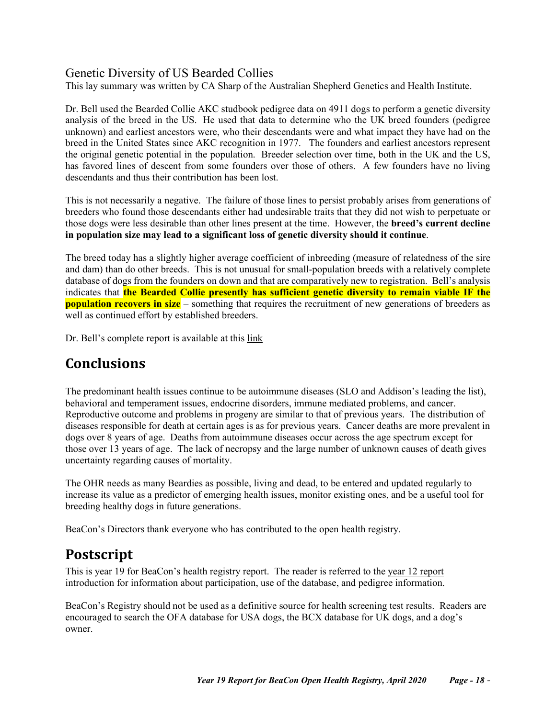## <span id="page-17-0"></span>Genetic Diversity of US Bearded Collies

This lay summary was written by CA Sharp of the Australian Shepherd Genetics and Health Institute.

Dr. Bell used the Bearded Collie AKC studbook pedigree data on 4911 dogs to perform a genetic diversity analysis of the breed in the US. He used that data to determine who the UK breed founders (pedigree unknown) and earliest ancestors were, who their descendants were and what impact they have had on the breed in the United States since AKC recognition in 1977. The founders and earliest ancestors represent the original genetic potential in the population. Breeder selection over time, both in the UK and the US, has favored lines of descent from some founders over those of others. A few founders have no living descendants and thus their contribution has been lost.

This is not necessarily a negative. The failure of those lines to persist probably arises from generations of breeders who found those descendants either had undesirable traits that they did not wish to perpetuate or those dogs were less desirable than other lines present at the time. However, the **breed's current decline in population size may lead to a significant loss of genetic diversity should it continue**.

The breed today has a slightly higher average coefficient of inbreeding (measure of relatedness of the sire and dam) than do other breeds. This is not unusual for small-population breeds with a relatively complete database of dogs from the founders on down and that are comparatively new to registration. Bell's analysis indicates that **the Bearded Collie presently has sufficient genetic diversity to remain viable IF the population recovers in size** – something that requires the recruitment of new generations of breeders as well as continued effort by established breeders.

<span id="page-17-1"></span>Dr. Bell's complete report is available at this [link](http://www.beaconforhealth.org/Final_Stud_Book_Analysis%20with%20edit%20restrictions.pdf)

# **Conclusions**

The predominant health issues continue to be autoimmune diseases (SLO and Addison's leading the list), behavioral and temperament issues, endocrine disorders, immune mediated problems, and cancer. Reproductive outcome and problems in progeny are similar to that of previous years. The distribution of diseases responsible for death at certain ages is as for previous years. Cancer deaths are more prevalent in dogs over 8 years of age. Deaths from autoimmune diseases occur across the age spectrum except for those over 13 years of age. The lack of necropsy and the large number of unknown causes of death gives uncertainty regarding causes of mortality.

The OHR needs as many Beardies as possible, living and dead, to be entered and updated regularly to increase its value as a predictor of emerging health issues, monitor existing ones, and be a useful tool for breeding healthy dogs in future generations.

<span id="page-17-2"></span>BeaCon's Directors thank everyone who has contributed to the open health registry.

# **Postscript**

This is year 19 for BeaCon's health registry report. The reader is referred to the [year 12 report](https://www.beaconforhealth.org/YR%2012%20report%20long%20version.pdf) introduction for information about participation, use of the database, and pedigree information.

BeaCon's Registry should not be used as a definitive source for health screening test results. Readers are encouraged to search the OFA database for USA dogs, the BCX database for UK dogs, and a dog's owner.